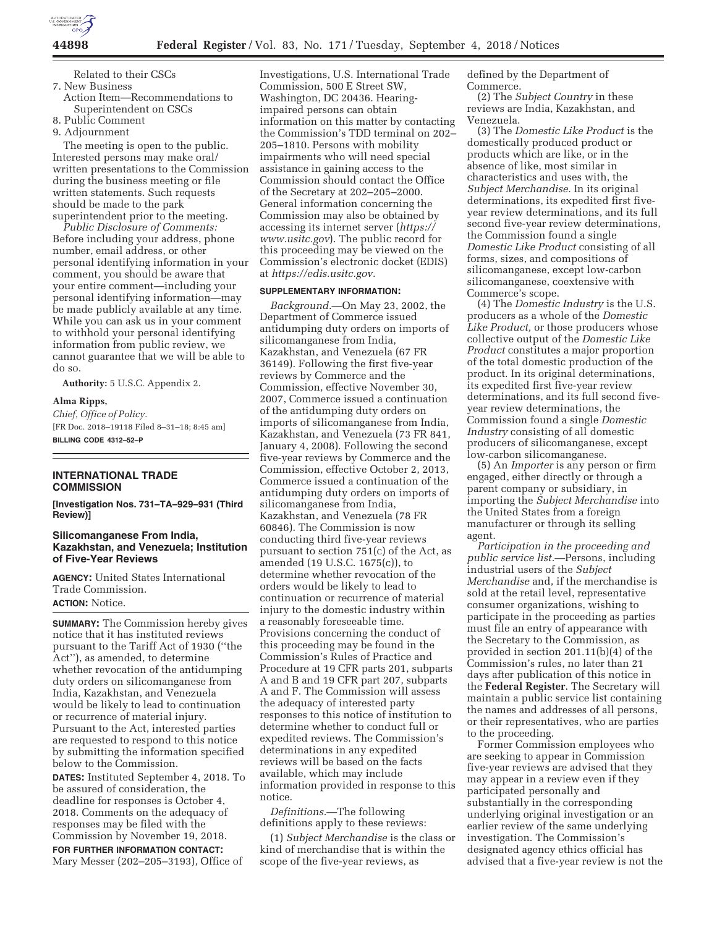

Related to their CSCs 7. New Business

Action Item—Recommendations to Superintendent on CSCs

8. Public Comment

9. Adjournment

The meeting is open to the public. Interested persons may make oral/ written presentations to the Commission during the business meeting or file written statements. Such requests should be made to the park superintendent prior to the meeting.

*Public Disclosure of Comments:*  Before including your address, phone number, email address, or other personal identifying information in your comment, you should be aware that your entire comment—including your personal identifying information—may be made publicly available at any time. While you can ask us in your comment to withhold your personal identifying information from public review, we cannot guarantee that we will be able to do so.

**Authority:** 5 U.S.C. Appendix 2.

#### **Alma Ripps,**

*Chief, Office of Policy.*  [FR Doc. 2018–19118 Filed 8–31–18; 8:45 am] **BILLING CODE 4312–52–P** 

# **INTERNATIONAL TRADE COMMISSION**

**[Investigation Nos. 731–TA–929–931 (Third Review)]** 

# **Silicomanganese From India, Kazakhstan, and Venezuela; Institution of Five-Year Reviews**

**AGENCY:** United States International Trade Commission. **ACTION:** Notice.

**SUMMARY:** The Commission hereby gives notice that it has instituted reviews pursuant to the Tariff Act of 1930 (''the Act''), as amended, to determine whether revocation of the antidumping duty orders on silicomanganese from India, Kazakhstan, and Venezuela would be likely to lead to continuation or recurrence of material injury. Pursuant to the Act, interested parties are requested to respond to this notice by submitting the information specified below to the Commission.

**DATES:** Instituted September 4, 2018. To be assured of consideration, the deadline for responses is October 4, 2018. Comments on the adequacy of responses may be filed with the Commission by November 19, 2018.

**FOR FURTHER INFORMATION CONTACT:**  Mary Messer (202–205–3193), Office of

Investigations, U.S. International Trade Commission, 500 E Street SW, Washington, DC 20436. Hearingimpaired persons can obtain information on this matter by contacting the Commission's TDD terminal on 202– 205–1810. Persons with mobility impairments who will need special assistance in gaining access to the Commission should contact the Office of the Secretary at 202–205–2000. General information concerning the Commission may also be obtained by accessing its internet server (*https:// www.usitc.gov*). The public record for this proceeding may be viewed on the Commission's electronic docket (EDIS) at *https://edis.usitc.gov.* 

### **SUPPLEMENTARY INFORMATION:**

*Background.*—On May 23, 2002, the Department of Commerce issued antidumping duty orders on imports of silicomanganese from India, Kazakhstan, and Venezuela (67 FR 36149). Following the first five-year reviews by Commerce and the Commission, effective November 30, 2007, Commerce issued a continuation of the antidumping duty orders on imports of silicomanganese from India, Kazakhstan, and Venezuela (73 FR 841, January 4, 2008). Following the second five-year reviews by Commerce and the Commission, effective October 2, 2013, Commerce issued a continuation of the antidumping duty orders on imports of silicomanganese from India, Kazakhstan, and Venezuela (78 FR 60846). The Commission is now conducting third five-year reviews pursuant to section 751(c) of the Act, as amended (19 U.S.C. 1675(c)), to determine whether revocation of the orders would be likely to lead to continuation or recurrence of material injury to the domestic industry within a reasonably foreseeable time. Provisions concerning the conduct of this proceeding may be found in the Commission's Rules of Practice and Procedure at 19 CFR parts 201, subparts A and B and 19 CFR part 207, subparts A and F. The Commission will assess the adequacy of interested party responses to this notice of institution to determine whether to conduct full or expedited reviews. The Commission's determinations in any expedited reviews will be based on the facts available, which may include information provided in response to this notice.

*Definitions.*—The following definitions apply to these reviews:

(1) *Subject Merchandise* is the class or kind of merchandise that is within the scope of the five-year reviews, as

defined by the Department of Commerce.

(2) The *Subject Country* in these reviews are India, Kazakhstan, and Venezuela.

(3) The *Domestic Like Product* is the domestically produced product or products which are like, or in the absence of like, most similar in characteristics and uses with, the *Subject Merchandise.* In its original determinations, its expedited first fiveyear review determinations, and its full second five-year review determinations, the Commission found a single *Domestic Like Product* consisting of all forms, sizes, and compositions of silicomanganese, except low-carbon silicomanganese, coextensive with Commerce's scope.

(4) The *Domestic Industry* is the U.S. producers as a whole of the *Domestic Like Product,* or those producers whose collective output of the *Domestic Like Product* constitutes a major proportion of the total domestic production of the product. In its original determinations, its expedited first five-year review determinations, and its full second fiveyear review determinations, the Commission found a single *Domestic Industry* consisting of all domestic producers of silicomanganese, except low-carbon silicomanganese.

(5) An *Importer* is any person or firm engaged, either directly or through a parent company or subsidiary, in importing the *Subject Merchandise* into the United States from a foreign manufacturer or through its selling agent.

*Participation in the proceeding and public service list.*—Persons, including industrial users of the *Subject Merchandise* and, if the merchandise is sold at the retail level, representative consumer organizations, wishing to participate in the proceeding as parties must file an entry of appearance with the Secretary to the Commission, as provided in section 201.11(b)(4) of the Commission's rules, no later than 21 days after publication of this notice in the **Federal Register**. The Secretary will maintain a public service list containing the names and addresses of all persons, or their representatives, who are parties to the proceeding.

Former Commission employees who are seeking to appear in Commission five-year reviews are advised that they may appear in a review even if they participated personally and substantially in the corresponding underlying original investigation or an earlier review of the same underlying investigation. The Commission's designated agency ethics official has advised that a five-year review is not the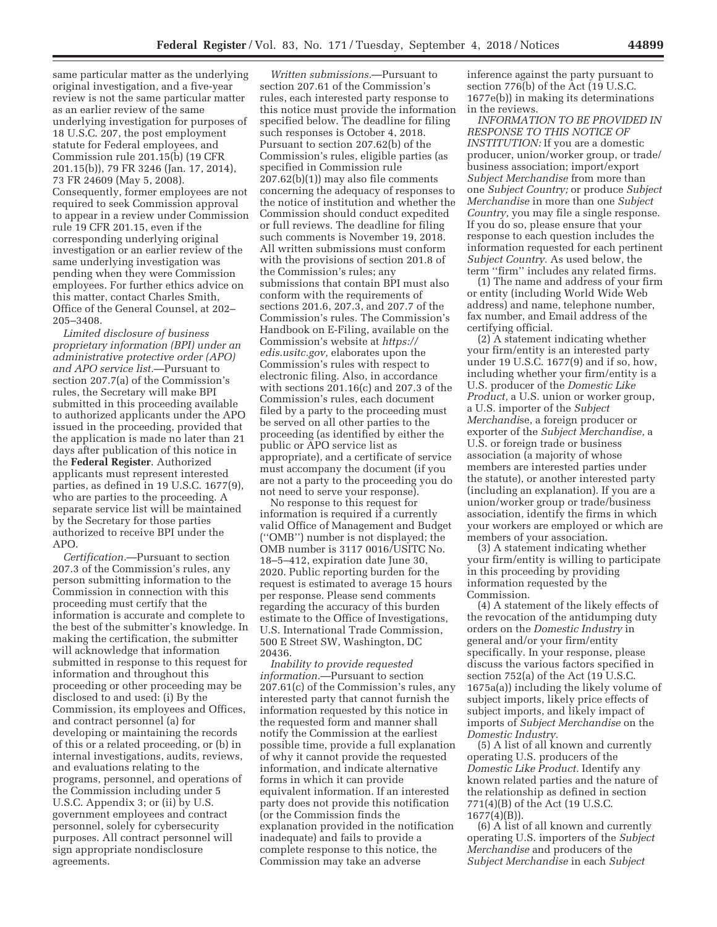same particular matter as the underlying original investigation, and a five-year review is not the same particular matter as an earlier review of the same underlying investigation for purposes of 18 U.S.C. 207, the post employment statute for Federal employees, and Commission rule 201.15(b) (19 CFR 201.15(b)), 79 FR 3246 (Jan. 17, 2014), 73 FR 24609 (May 5, 2008). Consequently, former employees are not required to seek Commission approval to appear in a review under Commission rule 19 CFR 201.15, even if the corresponding underlying original investigation or an earlier review of the same underlying investigation was pending when they were Commission employees. For further ethics advice on this matter, contact Charles Smith, Office of the General Counsel, at 202– 205–3408.

*Limited disclosure of business proprietary information (BPI) under an administrative protective order (APO) and APO service list.*—Pursuant to section 207.7(a) of the Commission's rules, the Secretary will make BPI submitted in this proceeding available to authorized applicants under the APO issued in the proceeding, provided that the application is made no later than 21 days after publication of this notice in the **Federal Register**. Authorized applicants must represent interested parties, as defined in 19 U.S.C. 1677(9), who are parties to the proceeding. A separate service list will be maintained by the Secretary for those parties authorized to receive BPI under the APO.

*Certification.*—Pursuant to section 207.3 of the Commission's rules, any person submitting information to the Commission in connection with this proceeding must certify that the information is accurate and complete to the best of the submitter's knowledge. In making the certification, the submitter will acknowledge that information submitted in response to this request for information and throughout this proceeding or other proceeding may be disclosed to and used: (i) By the Commission, its employees and Offices, and contract personnel (a) for developing or maintaining the records of this or a related proceeding, or (b) in internal investigations, audits, reviews, and evaluations relating to the programs, personnel, and operations of the Commission including under 5 U.S.C. Appendix 3; or (ii) by U.S. government employees and contract personnel, solely for cybersecurity purposes. All contract personnel will sign appropriate nondisclosure agreements.

*Written submissions.*—Pursuant to section 207.61 of the Commission's rules, each interested party response to this notice must provide the information specified below. The deadline for filing such responses is October 4, 2018. Pursuant to section 207.62(b) of the Commission's rules, eligible parties (as specified in Commission rule 207.62(b)(1)) may also file comments concerning the adequacy of responses to the notice of institution and whether the Commission should conduct expedited or full reviews. The deadline for filing such comments is November 19, 2018. All written submissions must conform with the provisions of section 201.8 of the Commission's rules; any submissions that contain BPI must also conform with the requirements of sections 201.6, 207.3, and 207.7 of the Commission's rules. The Commission's Handbook on E-Filing, available on the Commission's website at *https:// edis.usitc.gov,* elaborates upon the Commission's rules with respect to electronic filing. Also, in accordance with sections 201.16(c) and 207.3 of the Commission's rules, each document filed by a party to the proceeding must be served on all other parties to the proceeding (as identified by either the public or APO service list as appropriate), and a certificate of service must accompany the document (if you are not a party to the proceeding you do not need to serve your response).

No response to this request for information is required if a currently valid Office of Management and Budget (''OMB'') number is not displayed; the OMB number is 3117 0016/USITC No. 18–5–412, expiration date June 30, 2020. Public reporting burden for the request is estimated to average 15 hours per response. Please send comments regarding the accuracy of this burden estimate to the Office of Investigations, U.S. International Trade Commission, 500 E Street SW, Washington, DC 20436.

*Inability to provide requested information.*—Pursuant to section 207.61(c) of the Commission's rules, any interested party that cannot furnish the information requested by this notice in the requested form and manner shall notify the Commission at the earliest possible time, provide a full explanation of why it cannot provide the requested information, and indicate alternative forms in which it can provide equivalent information. If an interested party does not provide this notification (or the Commission finds the explanation provided in the notification inadequate) and fails to provide a complete response to this notice, the Commission may take an adverse

inference against the party pursuant to section 776(b) of the Act (19 U.S.C. 1677e(b)) in making its determinations in the reviews.

*INFORMATION TO BE PROVIDED IN RESPONSE TO THIS NOTICE OF INSTITUTION:* If you are a domestic producer, union/worker group, or trade/ business association; import/export *Subject Merchandise* from more than one *Subject Country;* or produce *Subject Merchandise* in more than one *Subject Country,* you may file a single response. If you do so, please ensure that your response to each question includes the information requested for each pertinent *Subject Country.* As used below, the term ''firm'' includes any related firms.

(1) The name and address of your firm or entity (including World Wide Web address) and name, telephone number, fax number, and Email address of the certifying official.

(2) A statement indicating whether your firm/entity is an interested party under 19 U.S.C. 1677(9) and if so, how, including whether your firm/entity is a U.S. producer of the *Domestic Like Product,* a U.S. union or worker group, a U.S. importer of the *Subject Merchandi*se, a foreign producer or exporter of the *Subject Merchandise,* a U.S. or foreign trade or business association (a majority of whose members are interested parties under the statute), or another interested party (including an explanation). If you are a union/worker group or trade/business association, identify the firms in which your workers are employed or which are members of your association.

(3) A statement indicating whether your firm/entity is willing to participate in this proceeding by providing information requested by the Commission.

(4) A statement of the likely effects of the revocation of the antidumping duty orders on the *Domestic Industry* in general and/or your firm/entity specifically. In your response, please discuss the various factors specified in section 752(a) of the Act (19 U.S.C. 1675a(a)) including the likely volume of subject imports, likely price effects of subject imports, and likely impact of imports of *Subject Merchandise* on the *Domestic Industry.* 

(5) A list of all known and currently operating U.S. producers of the *Domestic Like Product.* Identify any known related parties and the nature of the relationship as defined in section 771(4)(B) of the Act (19 U.S.C. 1677(4)(B)).

(6) A list of all known and currently operating U.S. importers of the *Subject Merchandise* and producers of the *Subject Merchandise* in each *Subject*